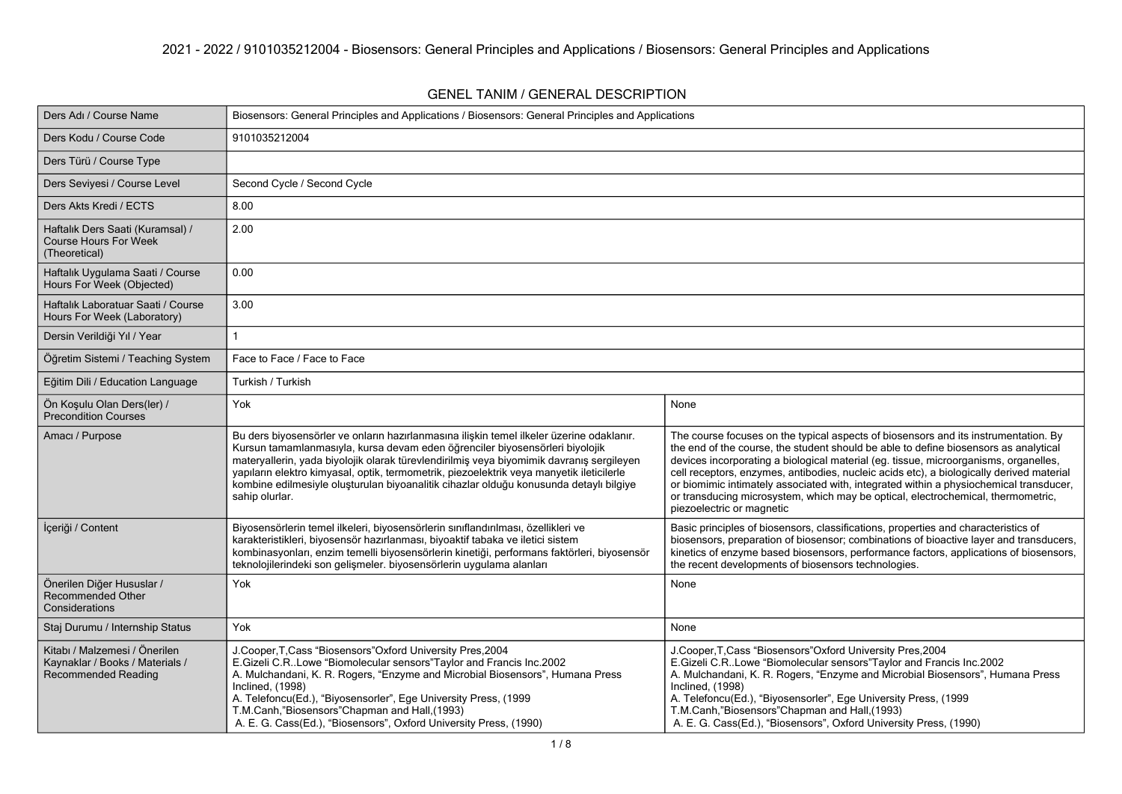### **GENEL TANIM / GENERAL DESCRIPTION**

| Ders Adı / Course Name                                                                         | Biosensors: General Principles and Applications / Biosensors: General Principles and Applications                                                                                                                                                                                                                                                                                                                                                                            |                                                                                                                                                                                                                                                                                                                                                                                                                                                                                                                                                                            |
|------------------------------------------------------------------------------------------------|------------------------------------------------------------------------------------------------------------------------------------------------------------------------------------------------------------------------------------------------------------------------------------------------------------------------------------------------------------------------------------------------------------------------------------------------------------------------------|----------------------------------------------------------------------------------------------------------------------------------------------------------------------------------------------------------------------------------------------------------------------------------------------------------------------------------------------------------------------------------------------------------------------------------------------------------------------------------------------------------------------------------------------------------------------------|
| Ders Kodu / Course Code                                                                        | 9101035212004                                                                                                                                                                                                                                                                                                                                                                                                                                                                |                                                                                                                                                                                                                                                                                                                                                                                                                                                                                                                                                                            |
| Ders Türü / Course Type                                                                        |                                                                                                                                                                                                                                                                                                                                                                                                                                                                              |                                                                                                                                                                                                                                                                                                                                                                                                                                                                                                                                                                            |
| Ders Seviyesi / Course Level                                                                   | Second Cycle / Second Cycle                                                                                                                                                                                                                                                                                                                                                                                                                                                  |                                                                                                                                                                                                                                                                                                                                                                                                                                                                                                                                                                            |
| Ders Akts Kredi / ECTS                                                                         | 8.00                                                                                                                                                                                                                                                                                                                                                                                                                                                                         |                                                                                                                                                                                                                                                                                                                                                                                                                                                                                                                                                                            |
| Haftalık Ders Saati (Kuramsal) /<br><b>Course Hours For Week</b><br>(Theoretical)              | 2.00                                                                                                                                                                                                                                                                                                                                                                                                                                                                         |                                                                                                                                                                                                                                                                                                                                                                                                                                                                                                                                                                            |
| Haftalık Uygulama Saati / Course<br>Hours For Week (Objected)                                  | 0.00                                                                                                                                                                                                                                                                                                                                                                                                                                                                         |                                                                                                                                                                                                                                                                                                                                                                                                                                                                                                                                                                            |
| Haftalık Laboratuar Saati / Course<br>Hours For Week (Laboratory)                              | 3.00                                                                                                                                                                                                                                                                                                                                                                                                                                                                         |                                                                                                                                                                                                                                                                                                                                                                                                                                                                                                                                                                            |
| Dersin Verildiği Yıl / Year                                                                    |                                                                                                                                                                                                                                                                                                                                                                                                                                                                              |                                                                                                                                                                                                                                                                                                                                                                                                                                                                                                                                                                            |
| Öğretim Sistemi / Teaching System                                                              | Face to Face / Face to Face                                                                                                                                                                                                                                                                                                                                                                                                                                                  |                                                                                                                                                                                                                                                                                                                                                                                                                                                                                                                                                                            |
| Eğitim Dili / Education Language                                                               | Turkish / Turkish                                                                                                                                                                                                                                                                                                                                                                                                                                                            |                                                                                                                                                                                                                                                                                                                                                                                                                                                                                                                                                                            |
| On Kosulu Olan Ders(ler) /<br><b>Precondition Courses</b>                                      | Yok                                                                                                                                                                                                                                                                                                                                                                                                                                                                          | None                                                                                                                                                                                                                                                                                                                                                                                                                                                                                                                                                                       |
| Amacı / Purpose                                                                                | Bu ders biyosensörler ve onların hazırlanmasına ilişkin temel ilkeler üzerine odaklanır.<br>Kursun tamamlanmasıyla, kursa devam eden öğrenciler biyosensörleri biyolojik<br>materyallerin, yada biyolojik olarak türevlendirilmiş veya biyomimik davranış sergileyen<br>yapıların elektro kimyasal, optik, termometrik, piezoelektrik veya manyetik ileticilerle<br>kombine edilmesiyle oluşturulan biyoanalitik cihazlar olduğu konusunda detaylı bilgiye<br>sahip olurlar. | The course focuses on the typical aspects of biosensors and its instrumentation. By<br>the end of the course, the student should be able to define biosensors as analytical<br>devices incorporating a biological material (eg. tissue, microorganisms, organelles,<br>cell receptors, enzymes, antibodies, nucleic acids etc), a biologically derived material<br>or biomimic intimately associated with, integrated within a physiochemical transducer,<br>or transducing microsystem, which may be optical, electrochemical, thermometric,<br>piezoelectric or magnetic |
| İçeriği / Content                                                                              | Biyosensörlerin temel ilkeleri, biyosensörlerin sınıflandırılması, özellikleri ve<br>karakteristikleri, biyosensör hazırlanması, biyoaktif tabaka ve iletici sistem<br>kombinasyonları, enzim temelli biyosensörlerin kinetiği, performans faktörleri, biyosensör<br>teknolojilerindeki son gelişmeler. biyosensörlerin uygulama alanları                                                                                                                                    | Basic principles of biosensors, classifications, properties and characteristics of<br>biosensors, preparation of biosensor, combinations of bioactive layer and transducers,<br>kinetics of enzyme based biosensors, performance factors, applications of biosensors,<br>the recent developments of biosensors technologies.                                                                                                                                                                                                                                               |
| Önerilen Diğer Hususlar /<br>Recommended Other<br>Considerations                               | Yok                                                                                                                                                                                                                                                                                                                                                                                                                                                                          | None                                                                                                                                                                                                                                                                                                                                                                                                                                                                                                                                                                       |
| Staj Durumu / Internship Status                                                                | Yok                                                                                                                                                                                                                                                                                                                                                                                                                                                                          | None                                                                                                                                                                                                                                                                                                                                                                                                                                                                                                                                                                       |
| Kitabı / Malzemesi / Önerilen<br>Kaynaklar / Books / Materials /<br><b>Recommended Reading</b> | J.Cooper, T.Cass "Biosensors" Oxford University Pres, 2004<br>E.Gizeli C.R. Lowe "Biomolecular sensors" Taylor and Francis Inc.2002<br>A. Mulchandani, K. R. Rogers, "Enzyme and Microbial Biosensors", Humana Press<br><b>Inclined, (1998)</b><br>A. Telefoncu(Ed.), "Biyosensorler", Ege University Press, (1999<br>T.M.Canh,"Biosensors"Chapman and Hall, (1993)<br>A. E. G. Cass(Ed.), "Biosensors", Oxford University Press, (1990)                                     | J.Cooper, T.Cass "Biosensors" Oxford University Pres, 2004<br>E.Gizeli C.R. Lowe "Biomolecular sensors" Taylor and Francis Inc.2002<br>A. Mulchandani, K. R. Rogers, "Enzyme and Microbial Biosensors", Humana Press<br>Inclined, (1998)<br>A. Telefoncu(Ed.), "Biyosensorler", Ege University Press, (1999<br>T.M.Canh,"Biosensors"Chapman and Hall, (1993)<br>A. E. G. Cass(Ed.), "Biosensors", Oxford University Press, (1990)                                                                                                                                          |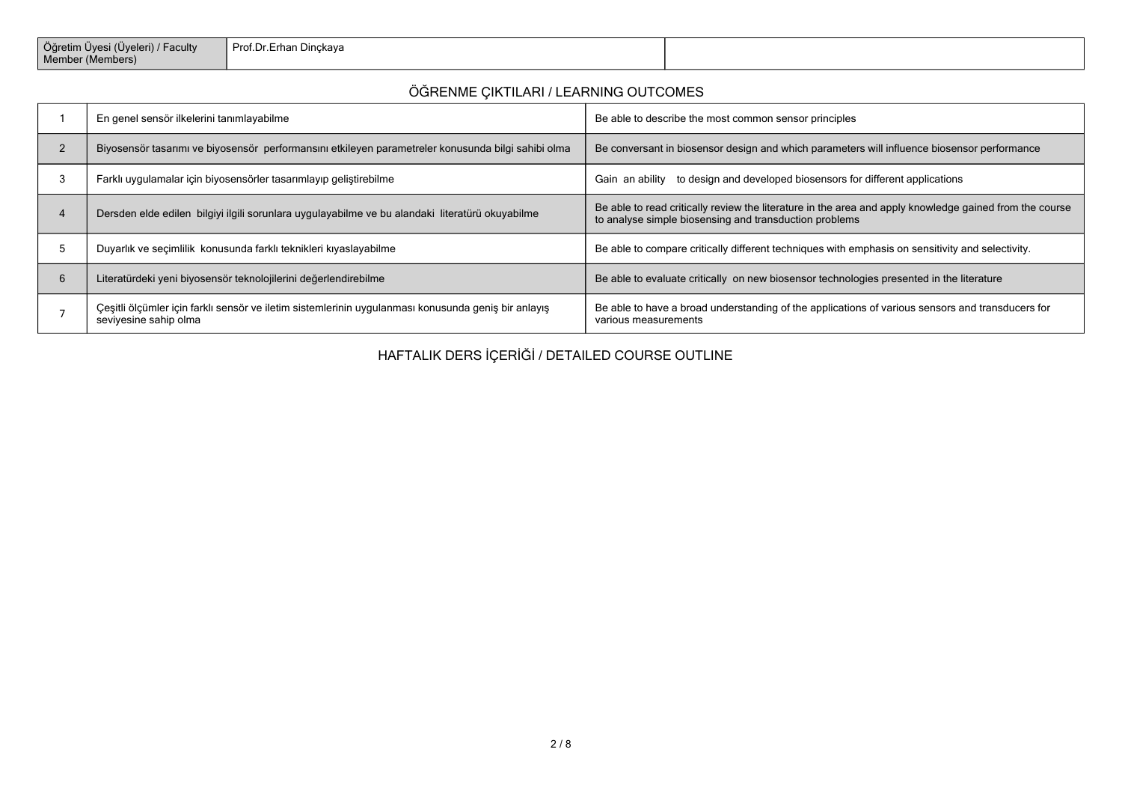| Öğretim Üyesi (Üyeleri) / Faculty<br>Member (Members) | Prof.Dr.Erhan Dinckaya |  |
|-------------------------------------------------------|------------------------|--|
|-------------------------------------------------------|------------------------|--|

# **ÖĞRENME ÇIKTILARI / LEARNING OUTCOMES**

| En genel sensör ilkelerini tanımlayabilme                                                                                    | Be able to describe the most common sensor principles                                                                                                             |
|------------------------------------------------------------------------------------------------------------------------------|-------------------------------------------------------------------------------------------------------------------------------------------------------------------|
| Biyosensör tasarımı ve biyosensör performansını etkileyen parametreler konusunda bilgi sahibi olma                           | Be conversant in biosensor design and which parameters will influence biosensor performance                                                                       |
| Farklı uygulamalar için biyosensörler tasarımlayıp geliştirebilme                                                            | Gain an ability to design and developed biosensors for different applications                                                                                     |
| Dersden elde edilen bilgiyi ilgili sorunlara uygulayabilme ve bu alandaki literatürü okuyabilme                              | Be able to read critically review the literature in the area and apply knowledge gained from the course<br>to analyse simple biosensing and transduction problems |
| Duyarlık ve seçimlilik konusunda farklı teknikleri kıyaslayabilme                                                            | Be able to compare critically different techniques with emphasis on sensitivity and selectivity.                                                                  |
| Literatürdeki yeni biyosensör teknolojilerini değerlendirebilme                                                              | Be able to evaluate critically on new biosensor technologies presented in the literature                                                                          |
| Çeşitli ölçümler için farklı sensör ve iletim sistemlerinin uygulanması konusunda geniş bir anlayış<br>seviyesine sahip olma | Be able to have a broad understanding of the applications of various sensors and transducers for<br>various measurements                                          |

**HAFTALIK DERS İÇERİĞİ / DETAILED COURSE OUTLINE**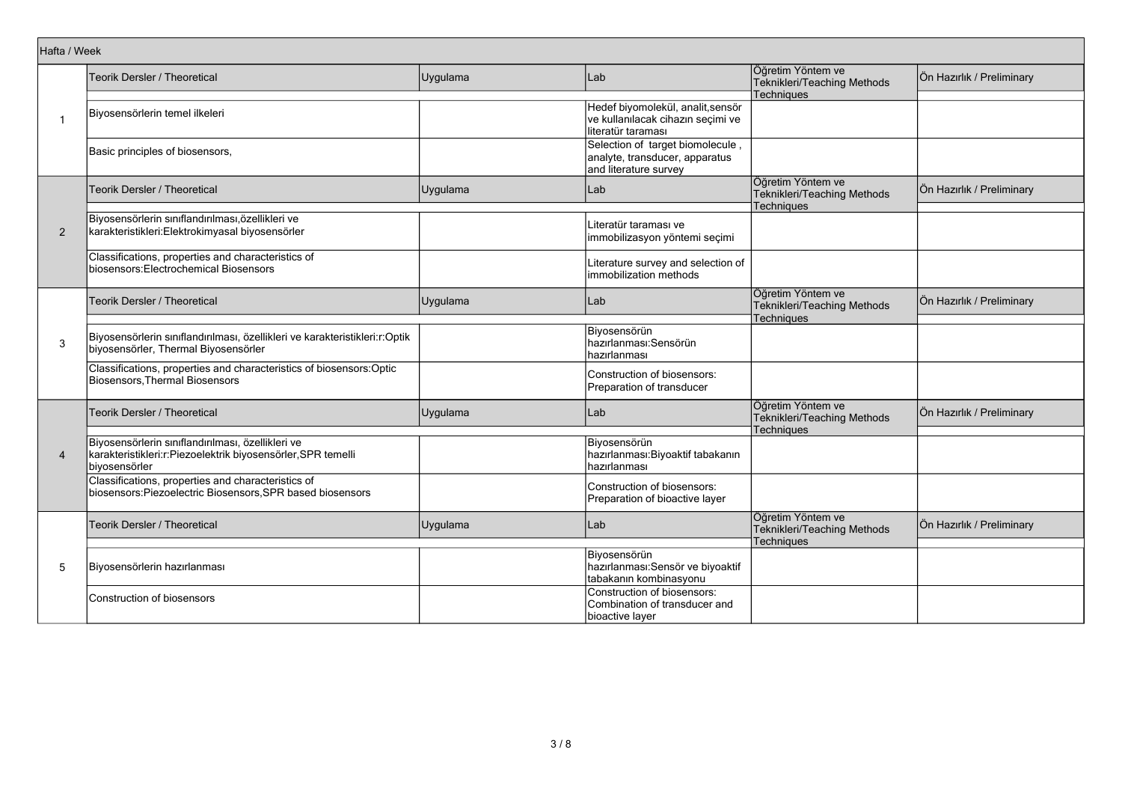| Hafta / Week   |                                                                                                                                    |          |                                                                                              |                                                                       |                           |
|----------------|------------------------------------------------------------------------------------------------------------------------------------|----------|----------------------------------------------------------------------------------------------|-----------------------------------------------------------------------|---------------------------|
|                | Teorik Dersler / Theoretical                                                                                                       | Uygulama | Lab                                                                                          | Öğretim Yöntem ve<br>Teknikleri/Teaching Methods                      | Ön Hazırlık / Preliminary |
| $\mathbf{1}$   | Biyosensörlerin temel ilkeleri                                                                                                     |          | Hedef biyomolekül, analit, sensör<br>ve kullanılacak cihazın seçimi ve<br>literatür taraması | <b>Techniques</b>                                                     |                           |
|                | Basic principles of biosensors,                                                                                                    |          | Selection of target biomolecule<br>analyte, transducer, apparatus<br>and literature survey   |                                                                       |                           |
|                | Teorik Dersler / Theoretical                                                                                                       | Uygulama | Lab                                                                                          | Öğretim Yöntem ve<br>Teknikleri/Teaching Methods<br>Techniques        | Ön Hazırlık / Preliminary |
| $\overline{2}$ | Biyosensörlerin sınıflandırılması,özellikleri ve<br>karakteristikleri: Elektrokimyasal biyosensörler                               |          | Literatür taraması ve<br>immobilizasyon yöntemi seçimi                                       |                                                                       |                           |
|                | Classifications, properties and characteristics of<br>biosensors: Electrochemical Biosensors                                       |          | Literature survey and selection of<br>immobilization methods                                 |                                                                       |                           |
|                | Teorik Dersler / Theoretical                                                                                                       | Uygulama | Lab                                                                                          | Öğretim Yöntem ve<br>Teknikleri/Teaching Methods<br>Techniques        | Ön Hazırlık / Preliminary |
| 3              | Biyosensörlerin sınıflandırılması, özellikleri ve karakteristikleri:r:Optik<br>biyosensörler, Thermal Biyosensörler                |          | Biyosensörün<br>hazırlanması: Sensörün<br>hazırlanması                                       |                                                                       |                           |
|                | Classifications, properties and characteristics of biosensors:Optic<br><b>Biosensors, Thermal Biosensors</b>                       |          | Construction of biosensors:<br>Preparation of transducer                                     |                                                                       |                           |
|                | <b>Teorik Dersler / Theoretical</b>                                                                                                | Uygulama | Lab                                                                                          | Öğretim Yöntem ve<br>Teknikleri/Teaching Methods<br><b>Techniques</b> | Ön Hazırlık / Preliminary |
| $\overline{4}$ | Biyosensörlerin sınıflandırılması, özellikleri ve<br>karakteristikleri:r:Piezoelektrik biyosensörler, SPR temelli<br>biyosensörler |          | Biyosensörün<br>hazırlanması: Biyoaktif tabakanın<br>hazırlanması                            |                                                                       |                           |
|                | Classifications, properties and characteristics of<br>biosensors:Piezoelectric Biosensors, SPR based biosensors                    |          | Construction of biosensors:<br>Preparation of bioactive layer                                |                                                                       |                           |
|                | Teorik Dersler / Theoretical                                                                                                       | Uygulama | Lab                                                                                          | Öğretim Yöntem ve<br>Teknikleri/Teaching Methods<br><b>Techniques</b> | Ön Hazırlık / Preliminary |
| 5              | Biyosensörlerin hazırlanması                                                                                                       |          | Biyosensörün<br>hazırlanması: Sensör ve biyoaktif<br>tabakanın kombinasyonu                  |                                                                       |                           |
|                | Construction of biosensors                                                                                                         |          | Construction of biosensors:<br>Combination of transducer and<br>bioactive layer              |                                                                       |                           |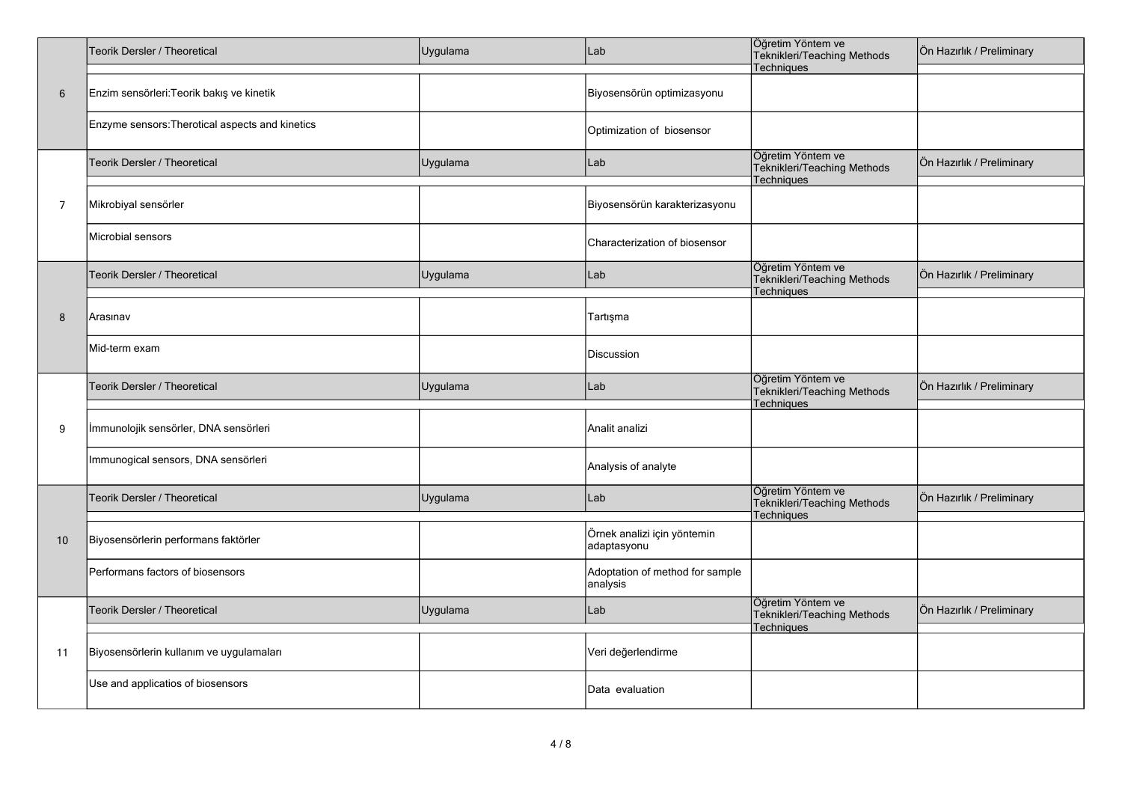|    | Teorik Dersler / Theoretical                    | Uygulama | Lab                                         | Öğretim Yöntem ve<br>Teknikleri/Teaching Methods<br>Techniques        | Ön Hazırlık / Preliminary |
|----|-------------------------------------------------|----------|---------------------------------------------|-----------------------------------------------------------------------|---------------------------|
| 6  | Enzim sensörleri: Teorik bakış ve kinetik       |          | Biyosensörün optimizasyonu                  |                                                                       |                           |
|    | Enzyme sensors: Therotical aspects and kinetics |          | Optimization of biosensor                   |                                                                       |                           |
|    | Teorik Dersler / Theoretical                    | Uygulama | Lab                                         | Öğretim Yöntem ve<br>Teknikleri/Teaching Methods<br><b>Techniques</b> | Ön Hazırlık / Preliminary |
| 7  | Mikrobiyal sensörler                            |          | Biyosensörün karakterizasyonu               |                                                                       |                           |
|    | Microbial sensors                               |          | Characterization of biosensor               |                                                                       |                           |
|    | Teorik Dersler / Theoretical                    | Uygulama | Lab                                         | Öğretim Yöntem ve<br>Teknikleri/Teaching Methods<br>Techniques        | Ön Hazırlık / Preliminary |
| 8  | Arasınav                                        |          | Tartışma                                    |                                                                       |                           |
|    | Mid-term exam                                   |          | Discussion                                  |                                                                       |                           |
|    | Teorik Dersler / Theoretical                    | Uygulama | Lab                                         | Öğretim Yöntem ve<br>Teknikleri/Teaching Methods<br><b>Techniques</b> | Ön Hazırlık / Preliminary |
| 9  | İmmunolojik sensörler, DNA sensörleri           |          | Analit analizi                              |                                                                       |                           |
|    | Immunogical sensors, DNA sensörleri             |          | Analysis of analyte                         |                                                                       |                           |
|    | Teorik Dersler / Theoretical                    | Uygulama | Lab                                         | Öğretim Yöntem ve<br>Teknikleri/Teaching Methods<br>Techniques        | Ön Hazırlık / Preliminary |
| 10 | Biyosensörlerin performans faktörler            |          | Örnek analizi için yöntemin<br>adaptasyonu  |                                                                       |                           |
|    | Performans factors of biosensors                |          | Adoptation of method for sample<br>analysis |                                                                       |                           |
|    | Teorik Dersler / Theoretical                    | Uygulama | Lab                                         | Öğretim Yöntem ve<br>Teknikleri/Teaching Methods<br>Techniques        | Ön Hazırlık / Preliminary |
| 11 | Biyosensörlerin kullanım ve uygulamaları        |          | Veri değerlendirme                          |                                                                       |                           |
|    | Use and applicatios of biosensors               |          | Data evaluation                             |                                                                       |                           |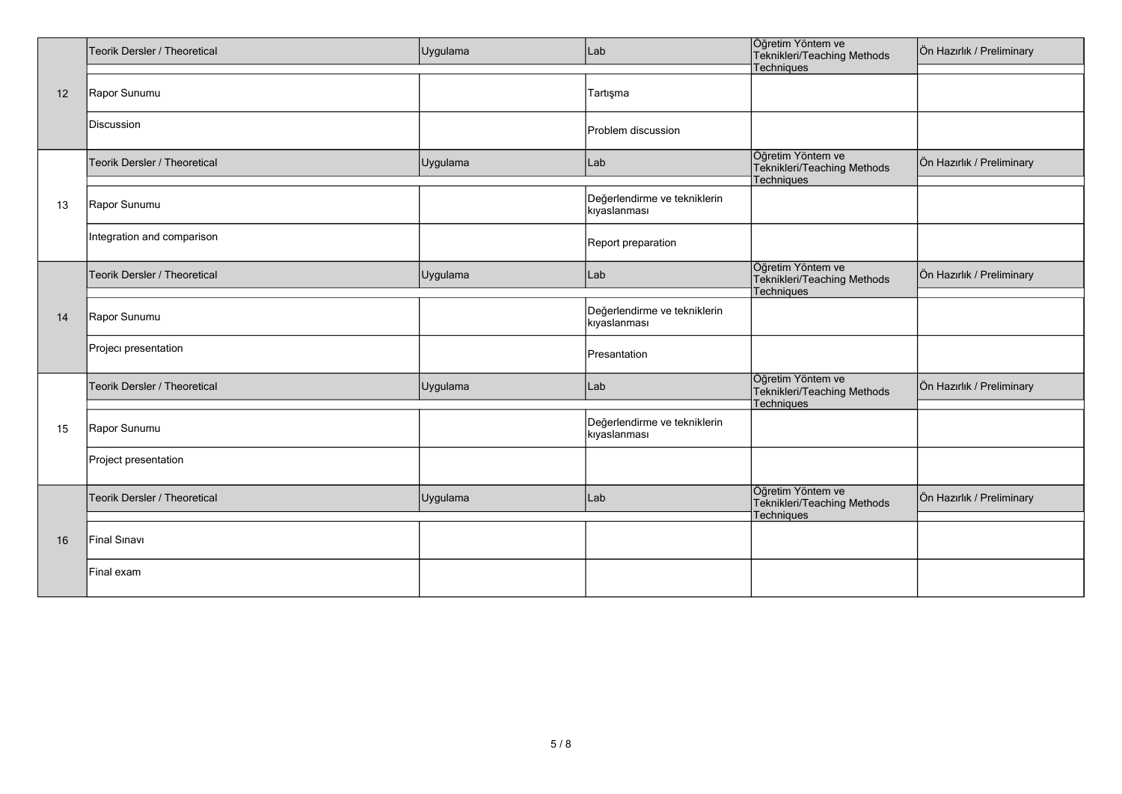|    | Teorik Dersler / Theoretical | Uygulama | Lab                                          | Öğretim Yöntem ve<br>Teknikleri/Teaching Methods<br>Techniques | Ön Hazırlık / Preliminary |
|----|------------------------------|----------|----------------------------------------------|----------------------------------------------------------------|---------------------------|
|    |                              |          |                                              |                                                                |                           |
| 12 | Rapor Sunumu                 |          | Tartışma                                     |                                                                |                           |
|    | Discussion                   |          | Problem discussion                           |                                                                |                           |
|    | Teorik Dersler / Theoretical | Uygulama | Lab                                          | Öğretim Yöntem ve<br>Teknikleri/Teaching Methods<br>Techniques | Ön Hazırlık / Preliminary |
| 13 | Rapor Sunumu                 |          | Değerlendirme ve tekniklerin<br>kıyaslanması |                                                                |                           |
|    | Integration and comparison   |          | Report preparation                           |                                                                |                           |
|    | Teorik Dersler / Theoretical | Uygulama | Lab                                          | Öğretim Yöntem ve<br>Teknikleri/Teaching Methods<br>Techniques | Ön Hazırlık / Preliminary |
| 14 | Rapor Sunumu                 |          | Değerlendirme ve tekniklerin<br>kıyaslanması |                                                                |                           |
|    | Projeci presentation         |          | Presantation                                 |                                                                |                           |
|    | Teorik Dersler / Theoretical | Uygulama | Lab                                          | Öğretim Yöntem ve<br>Teknikleri/Teaching Methods<br>Techniques | Ön Hazırlık / Preliminary |
| 15 | Rapor Sunumu                 |          | Değerlendirme ve tekniklerin<br>kıyaslanması |                                                                |                           |
|    | Project presentation         |          |                                              |                                                                |                           |
|    | Teorik Dersler / Theoretical | Uygulama | Lab                                          | Öğretim Yöntem ve<br>Teknikleri/Teaching Methods<br>Techniques | Ön Hazırlık / Preliminary |
| 16 | Final Sinavi                 |          |                                              |                                                                |                           |
|    | Final exam                   |          |                                              |                                                                |                           |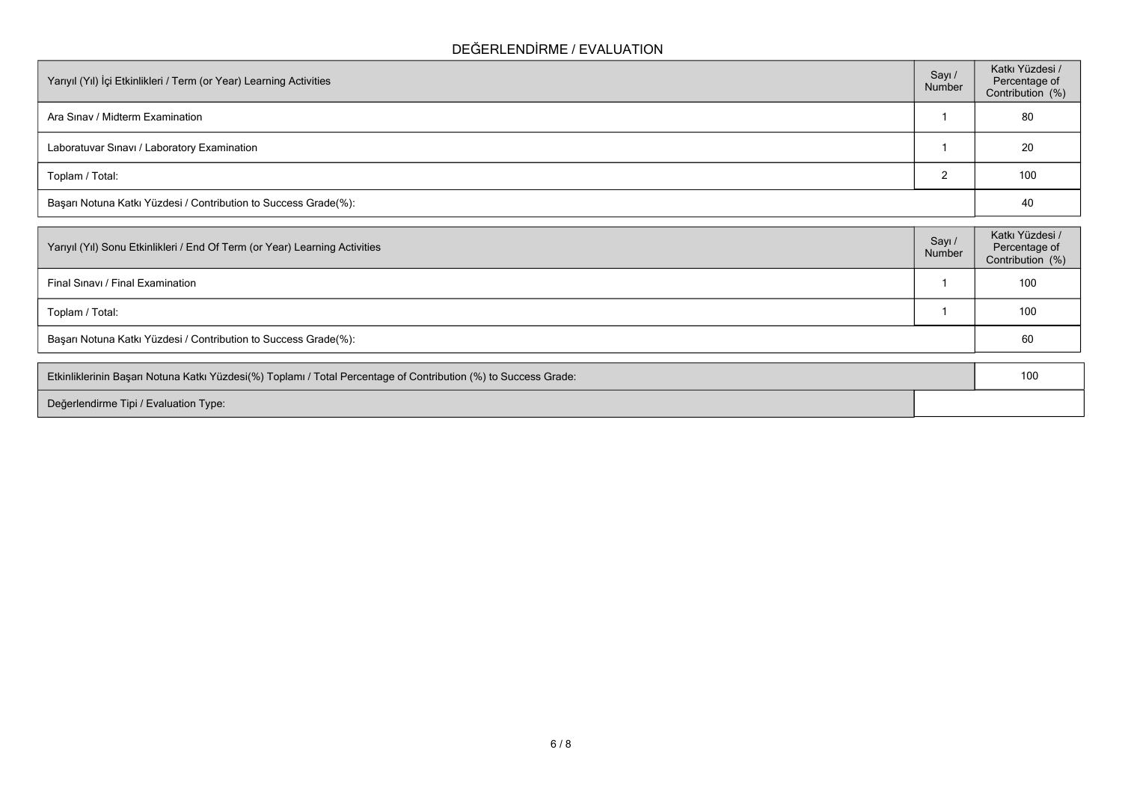## **DEĞERLENDİRME / EVALUATION**

| Yarıyıl (Yıl) İçi Etkinlikleri / Term (or Year) Learning Activities | Sayı /<br>Number | Katkı Yüzdesi /<br>Percentage of<br>Contribution (%) |
|---------------------------------------------------------------------|------------------|------------------------------------------------------|
| Ara Sinav / Midterm Examination                                     |                  | 80                                                   |
| Laboratuvar Sinavi / Laboratory Examination                         |                  | 20                                                   |
| Toplam / Total:                                                     |                  | 100                                                  |
| Başarı Notuna Katkı Yüzdesi / Contribution to Success Grade(%):     |                  | 40                                                   |

| Yarıyıl (Yıl) Sonu Etkinlikleri / End Of Term (or Year) Learning Activities | Sayı /<br>Number | Katkı Yüzdesi /<br>Percentage of<br>Contribution (%) |
|-----------------------------------------------------------------------------|------------------|------------------------------------------------------|
| Final Sinavi / Final Examination                                            |                  | 100                                                  |
| Toplam / Total:                                                             |                  | 100                                                  |
| Başarı Notuna Katkı Yüzdesi / Contribution to Success Grade(%):             |                  | 60                                                   |
|                                                                             |                  |                                                      |

| Etkinliklerinin Başarı Notuna Katkı Yüzdesi(%) Toplamı / Total Percentage of Contribution (%) to Success Grade: |  |
|-----------------------------------------------------------------------------------------------------------------|--|
| Değerlendirme Tipi / Evaluation Type:                                                                           |  |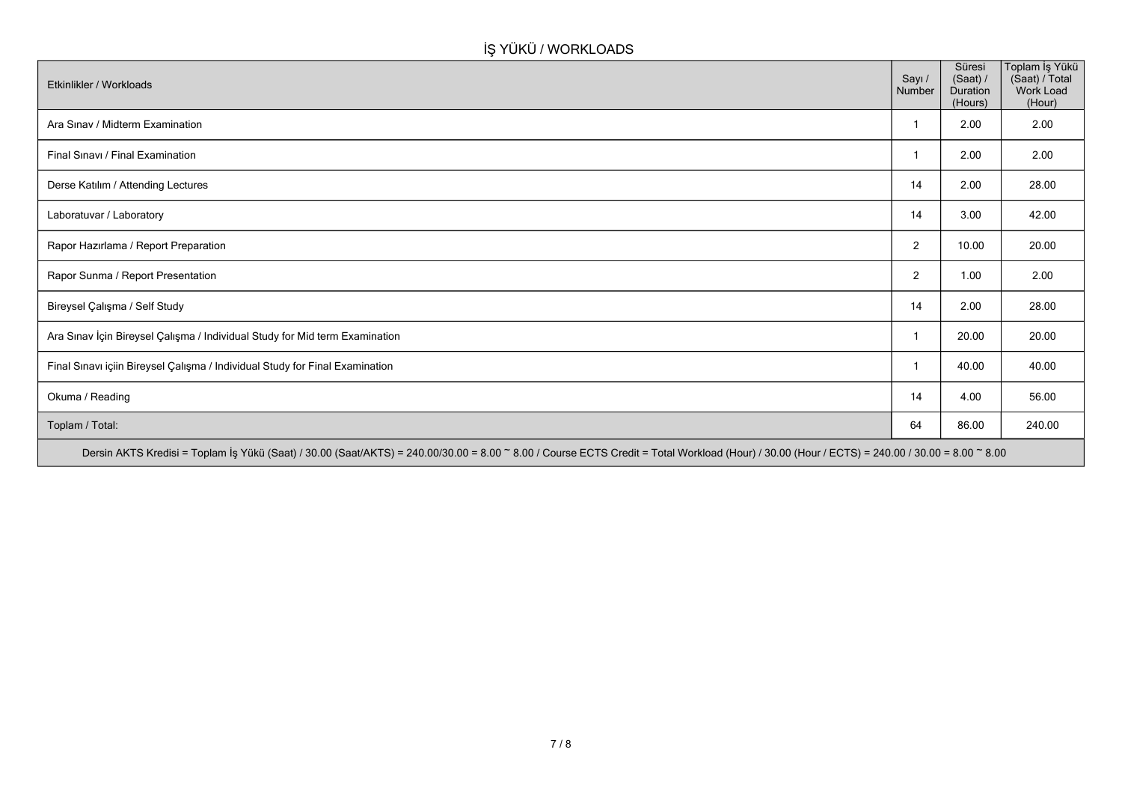# **İŞ YÜKÜ / WORKLOADS**

| Etkinlikler / Workloads                                                                                                                                                                        | Sayı /<br>Number | Süresi<br>(Saat) /<br>Duration<br>(Hours) | Toplam İş Yükü<br>(Saat) / Total<br>Work Load<br>(Hour) |
|------------------------------------------------------------------------------------------------------------------------------------------------------------------------------------------------|------------------|-------------------------------------------|---------------------------------------------------------|
| Ara Sinav / Midterm Examination                                                                                                                                                                |                  | 2.00                                      | 2.00                                                    |
| Final Sınavı / Final Examination                                                                                                                                                               |                  | 2.00                                      | 2.00                                                    |
| Derse Katılım / Attending Lectures                                                                                                                                                             | 14               | 2.00                                      | 28.00                                                   |
| Laboratuvar / Laboratory                                                                                                                                                                       | 14               | 3.00                                      | 42.00                                                   |
| Rapor Hazırlama / Report Preparation                                                                                                                                                           | $\overline{2}$   | 10.00                                     | 20.00                                                   |
| Rapor Sunma / Report Presentation                                                                                                                                                              | $\overline{2}$   | 1.00                                      | 2.00                                                    |
| Bireysel Çalışma / Self Study                                                                                                                                                                  | 14               | 2.00                                      | 28.00                                                   |
| Ara Sınav İçin Bireysel Çalışma / Individual Study for Mid term Examination                                                                                                                    |                  | 20.00                                     | 20.00                                                   |
| Final Sınavı içiin Bireysel Çalışma / Individual Study for Final Examination                                                                                                                   |                  | 40.00                                     | 40.00                                                   |
| Okuma / Reading                                                                                                                                                                                | 14               | 4.00                                      | 56.00                                                   |
| Toplam / Total:                                                                                                                                                                                | 64               | 86.00                                     | 240.00                                                  |
| Dersin AKTS Kredisi = Toplam İş Yükü (Saat) / 30.00 (Saat/AKTS) = 240.00/30.00 = 8.00 ~ 8.00 / Course ECTS Credit = Total Workload (Hour) / 30.00 (Hour / ECTS) = 240.00 / 30.00 = 8.00 ~ 8.00 |                  |                                           |                                                         |